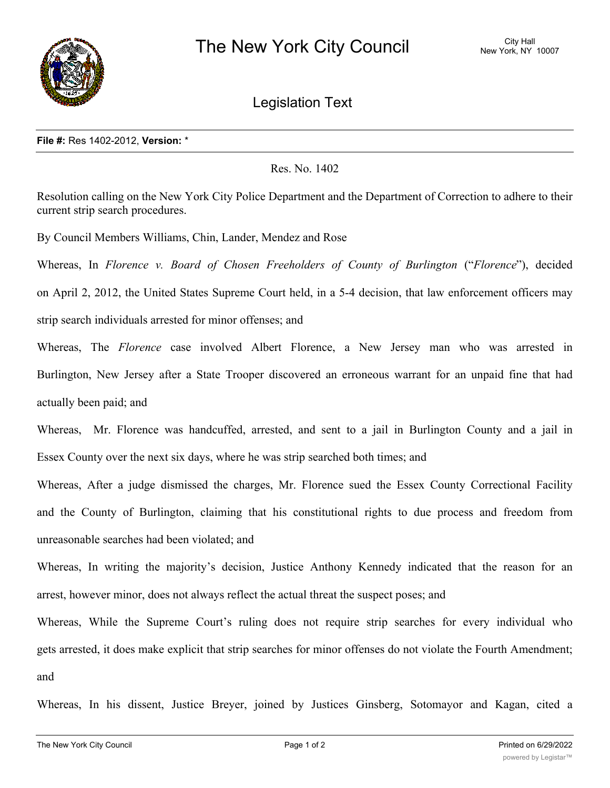

Legislation Text

## **File #:** Res 1402-2012, **Version:** \*

## Res. No. 1402

Resolution calling on the New York City Police Department and the Department of Correction to adhere to their current strip search procedures.

By Council Members Williams, Chin, Lander, Mendez and Rose

Whereas, In *Florence v. Board of Chosen Freeholders of County of Burlington* ("*Florence*"), decided

on April 2, 2012, the United States Supreme Court held, in a 5-4 decision, that law enforcement officers may strip search individuals arrested for minor offenses; and

Whereas, The *Florence* case involved Albert Florence, a New Jersey man who was arrested in Burlington, New Jersey after a State Trooper discovered an erroneous warrant for an unpaid fine that had actually been paid; and

Whereas, Mr. Florence was handcuffed, arrested, and sent to a jail in Burlington County and a jail in Essex County over the next six days, where he was strip searched both times; and

Whereas, After a judge dismissed the charges, Mr. Florence sued the Essex County Correctional Facility and the County of Burlington, claiming that his constitutional rights to due process and freedom from unreasonable searches had been violated; and

Whereas, In writing the majority's decision, Justice Anthony Kennedy indicated that the reason for an arrest, however minor, does not always reflect the actual threat the suspect poses; and

Whereas, While the Supreme Court's ruling does not require strip searches for every individual who gets arrested, it does make explicit that strip searches for minor offenses do not violate the Fourth Amendment; and

Whereas, In his dissent, Justice Breyer, joined by Justices Ginsberg, Sotomayor and Kagan, cited a